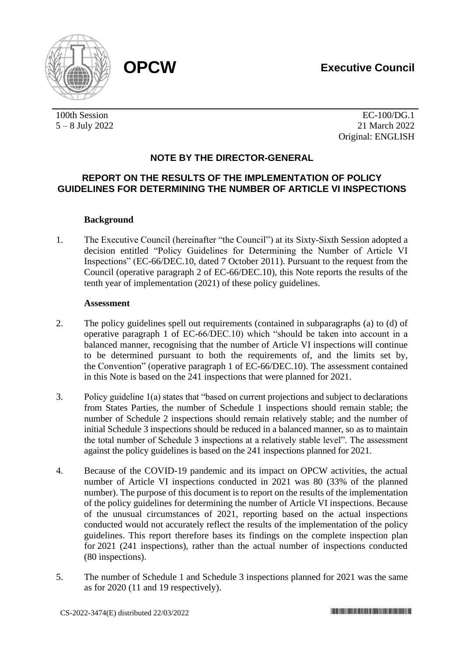

100th Session 5 – 8 July 2022

EC-100/DG.1 21 March 2022 Original: ENGLISH

# **NOTE BY THE DIRECTOR-GENERAL**

# **REPORT ON THE RESULTS OF THE IMPLEMENTATION OF POLICY GUIDELINES FOR DETERMINING THE NUMBER OF ARTICLE VI INSPECTIONS**

## **Background**

1. The Executive Council (hereinafter "the Council") at its Sixty-Sixth Session adopted a decision entitled "Policy Guidelines for Determining the Number of Article VI Inspections" (EC-66/DEC.10, dated 7 October 2011). Pursuant to the request from the Council (operative paragraph 2 of EC-66/DEC.10), this Note reports the results of the tenth year of implementation (2021) of these policy guidelines.

### **Assessment**

- 2. The policy guidelines spell out requirements (contained in subparagraphs (a) to (d) of operative paragraph 1 of EC-66/DEC.10) which "should be taken into account in a balanced manner, recognising that the number of Article VI inspections will continue to be determined pursuant to both the requirements of, and the limits set by, the Convention" (operative paragraph 1 of EC-66/DEC.10). The assessment contained in this Note is based on the 241 inspections that were planned for 2021.
- 3. Policy guideline 1(a) states that "based on current projections and subject to declarations from States Parties, the number of Schedule 1 inspections should remain stable; the number of Schedule 2 inspections should remain relatively stable; and the number of initial Schedule 3 inspections should be reduced in a balanced manner, so as to maintain the total number of Schedule 3 inspections at a relatively stable level". The assessment against the policy guidelines is based on the 241 inspections planned for 2021.
- 4. Because of the COVID-19 pandemic and its impact on OPCW activities, the actual number of Article VI inspections conducted in 2021 was 80 (33% of the planned number). The purpose of this document is to report on the results of the implementation of the policy guidelines for determining the number of Article VI inspections. Because of the unusual circumstances of 2021, reporting based on the actual inspections conducted would not accurately reflect the results of the implementation of the policy guidelines. This report therefore bases its findings on the complete inspection plan for 2021 (241 inspections), rather than the actual number of inspections conducted (80 inspections).
- 5. The number of Schedule 1 and Schedule 3 inspections planned for 2021 was the same as for 2020 (11 and 19 respectively).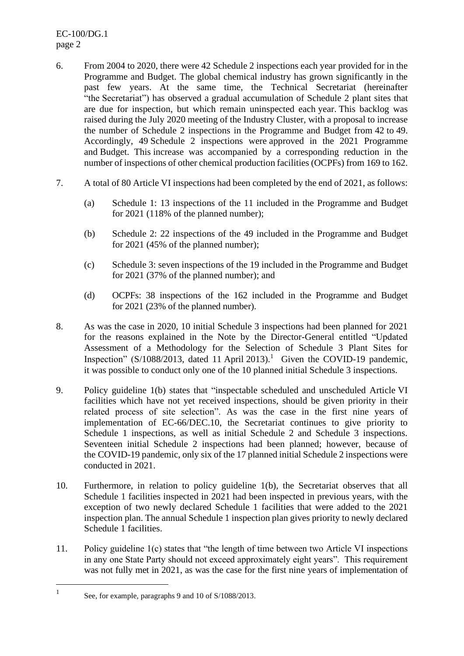EC-100/DG.1 page 2

- 6. From 2004 to 2020, there were 42 Schedule 2 inspections each year provided for in the Programme and Budget. The global chemical industry has grown significantly in the past few years. At the same time, the Technical Secretariat (hereinafter "the Secretariat") has observed a gradual accumulation of Schedule 2 plant sites that are due for inspection, but which remain uninspected each year. This backlog was raised during the July 2020 meeting of the Industry Cluster, with a proposal to increase the number of Schedule 2 inspections in the Programme and Budget from 42 to 49. Accordingly, 49 Schedule 2 inspections were approved in the 2021 Programme and Budget. This increase was accompanied by a corresponding reduction in the number of inspections of other chemical production facilities (OCPFs) from 169 to 162.
- 7. A total of 80 Article VI inspections had been completed by the end of 2021, as follows:
	- (a) Schedule 1: 13 inspections of the 11 included in the Programme and Budget for 2021 (118% of the planned number);
	- (b) Schedule 2: 22 inspections of the 49 included in the Programme and Budget for 2021 (45% of the planned number);
	- (c) Schedule 3: seven inspections of the 19 included in the Programme and Budget for 2021 (37% of the planned number); and
	- (d) OCPFs: 38 inspections of the 162 included in the Programme and Budget for 2021 (23% of the planned number).
- 8. As was the case in 2020, 10 initial Schedule 3 inspections had been planned for 2021 for the reasons explained in the Note by the Director-General entitled "Updated Assessment of a Methodology for the Selection of Schedule 3 Plant Sites for Inspection" (S/1088/2013, dated 11 April 2013).<sup>1</sup> Given the COVID-19 pandemic, it was possible to conduct only one of the 10 planned initial Schedule 3 inspections.
- 9. Policy guideline 1(b) states that "inspectable scheduled and unscheduled Article VI facilities which have not yet received inspections, should be given priority in their related process of site selection". As was the case in the first nine years of implementation of EC-66/DEC.10, the Secretariat continues to give priority to Schedule 1 inspections, as well as initial Schedule 2 and Schedule 3 inspections. Seventeen initial Schedule 2 inspections had been planned; however, because of the COVID-19 pandemic, only six of the 17 planned initial Schedule 2 inspections were conducted in 2021.
- 10. Furthermore, in relation to policy guideline 1(b), the Secretariat observes that all Schedule 1 facilities inspected in 2021 had been inspected in previous years, with the exception of two newly declared Schedule 1 facilities that were added to the 2021 inspection plan. The annual Schedule 1 inspection plan gives priority to newly declared Schedule 1 facilities.
- 11. Policy guideline 1(c) states that "the length of time between two Article VI inspections in any one State Party should not exceed approximately eight years". This requirement was not fully met in 2021, as was the case for the first nine years of implementation of

<sup>1</sup> See, for example, paragraphs 9 and 10 of S/1088/2013.